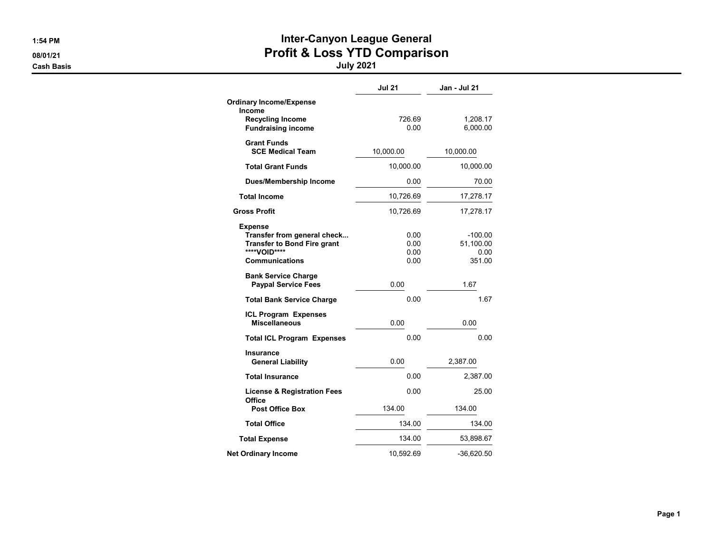### 1:54 PM **Inter-Canyon League General** 08/01/21 **Profit & Loss YTD Comparison**

|                                                                                                                       | <b>Jul 21</b>                | Jan - Jul 21                             |
|-----------------------------------------------------------------------------------------------------------------------|------------------------------|------------------------------------------|
| <b>Ordinary Income/Expense</b><br><b>Income</b><br><b>Recycling Income</b><br><b>Fundraising income</b>               | 726.69<br>0.00               | 1,208.17<br>6,000.00                     |
| <b>Grant Funds</b><br><b>SCE Medical Team</b>                                                                         | 10,000.00                    | 10,000.00                                |
| <b>Total Grant Funds</b>                                                                                              | 10,000.00                    | 10,000.00                                |
| <b>Dues/Membership Income</b>                                                                                         | 0.00                         | 70.00                                    |
| <b>Total Income</b>                                                                                                   | 10,726.69                    | 17,278.17                                |
| <b>Gross Profit</b>                                                                                                   | 10,726.69                    | 17,278.17                                |
| Expense<br>Transfer from general check<br><b>Transfer to Bond Fire grant</b><br>****VOID****<br><b>Communications</b> | 0.00<br>0.00<br>0.00<br>0.00 | $-100.00$<br>51,100.00<br>0.00<br>351.00 |
| <b>Bank Service Charge</b><br><b>Paypal Service Fees</b>                                                              | 0.00                         | 1.67                                     |
| <b>Total Bank Service Charge</b>                                                                                      | 0.00                         | 1.67                                     |
| <b>ICL Program Expenses</b><br><b>Miscellaneous</b>                                                                   | 0.00                         | 0.00                                     |
| <b>Total ICL Program Expenses</b>                                                                                     | 0.00                         | 0.00                                     |
| Insurance<br><b>General Liability</b>                                                                                 | 0.00                         | 2,387.00                                 |
| <b>Total Insurance</b>                                                                                                | 0.00                         | 2,387.00                                 |
| <b>License &amp; Registration Fees</b><br>Office                                                                      | 0.00                         | 25.00                                    |
| <b>Post Office Box</b>                                                                                                | 134.00                       | 134.00                                   |
| <b>Total Office</b>                                                                                                   | 134.00                       | 134.00                                   |
| <b>Total Expense</b>                                                                                                  | 134.00                       | 53,898.67                                |
| <b>Net Ordinary Income</b>                                                                                            | 10,592.69                    | $-36,620.50$                             |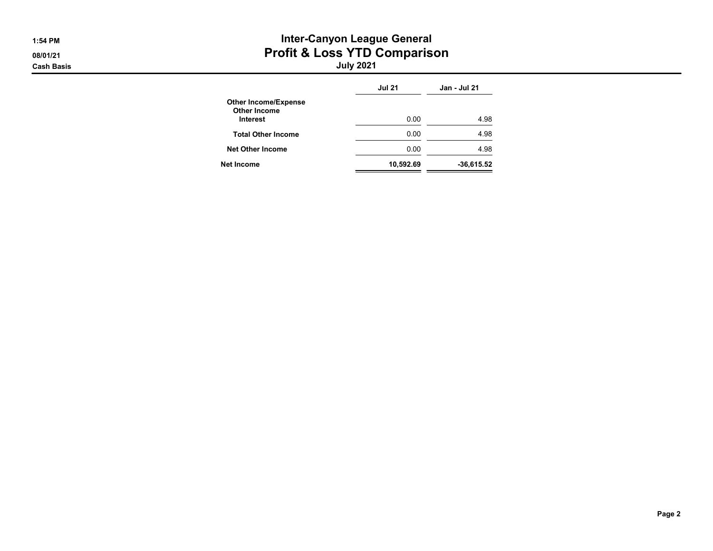## 1:54 PM **Inter-Canyon League General** 08/01/21 **Profit & Loss YTD Comparison**

|                                                                | <b>Jul 21</b> | Jan - Jul 21 |
|----------------------------------------------------------------|---------------|--------------|
| <b>Other Income/Expense</b><br><b>Other Income</b><br>Interest | 0.00          | 4.98         |
|                                                                |               |              |
| <b>Total Other Income</b>                                      | 0.00          | 4.98         |
| <b>Net Other Income</b>                                        | 0.00          | 4.98         |
| Net Income                                                     | 10,592.69     | $-36,615.52$ |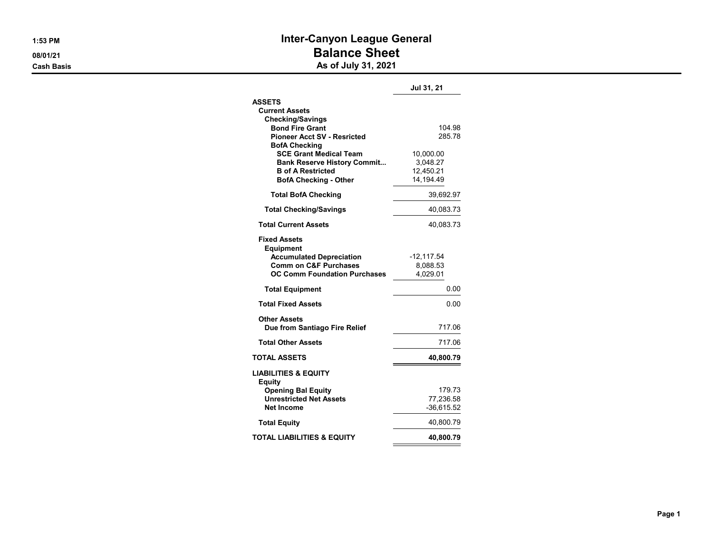### 1:53 PM **Inter-Canyon League General** 08/01/21 **Balance Sheet** Cash Basis **As of July 31, 2021**

|                                                              | Jul 31, 21       |
|--------------------------------------------------------------|------------------|
| <b>ASSETS</b>                                                |                  |
| <b>Current Assets</b>                                        |                  |
| <b>Checking/Savings</b>                                      |                  |
| <b>Bond Fire Grant</b><br><b>Pioneer Acct SV - Resricted</b> | 104.98<br>285.78 |
| <b>BofA Checking</b>                                         |                  |
| <b>SCE Grant Medical Team</b>                                | 10,000.00        |
| <b>Bank Reserve History Commit</b>                           | 3,048.27         |
| <b>B</b> of A Restricted                                     | 12,450.21        |
| <b>BofA Checking - Other</b>                                 | 14,194.49        |
| <b>Total BofA Checking</b>                                   | 39,692.97        |
| <b>Total Checking/Savings</b>                                | 40,083.73        |
| <b>Total Current Assets</b>                                  | 40,083.73        |
| <b>Fixed Assets</b><br><b>Equipment</b>                      |                  |
| <b>Accumulated Depreciation</b>                              | $-12,117.54$     |
| <b>Comm on C&amp;F Purchases</b>                             | 8,088.53         |
| <b>OC Comm Foundation Purchases</b>                          | 4,029.01         |
| <b>Total Equipment</b>                                       | 0.00             |
| <b>Total Fixed Assets</b>                                    | 0.00             |
| Other Assets                                                 |                  |
| Due from Santiago Fire Relief                                | 717.06           |
| <b>Total Other Assets</b>                                    | 717.06           |
| <b>TOTAL ASSETS</b>                                          | 40,800.79        |
| <b>LIABILITIES &amp; EQUITY</b><br>Equity                    |                  |
| <b>Opening Bal Equity</b>                                    | 179.73           |
| <b>Unrestricted Net Assets</b>                               | 77,236.58        |
| <b>Net Income</b>                                            | $-36,615.52$     |
| <b>Total Equity</b>                                          | 40,800.79        |
| TOTAL LIABILITIES & EQUITY                                   | 40,800.79        |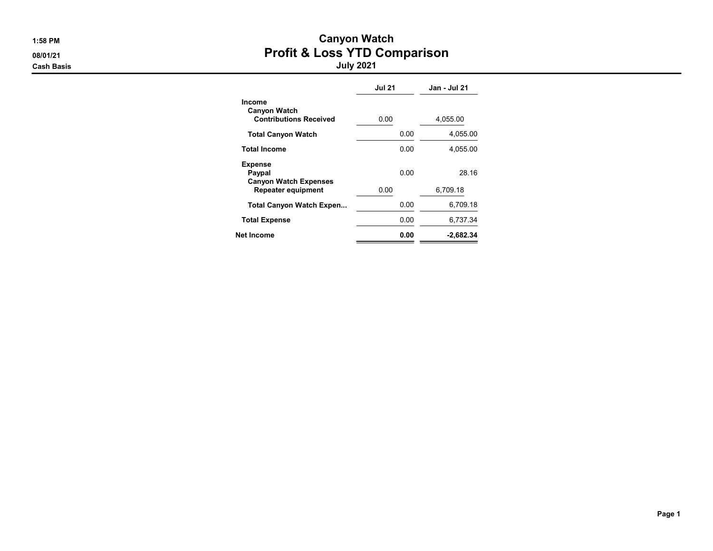# 1:58 PM Canyon Watch 08/01/21 **Profit & Loss YTD Comparison**

|                                                                       | <b>Jul 21</b> | Jan - Jul 21 |
|-----------------------------------------------------------------------|---------------|--------------|
| <b>Income</b><br><b>Canyon Watch</b><br><b>Contributions Received</b> | 0.00          | 4,055.00     |
| <b>Total Canyon Watch</b>                                             | 0.00          | 4.055.00     |
| <b>Total Income</b>                                                   | 0.00          | 4.055.00     |
| <b>Expense</b><br>Paypal<br><b>Canyon Watch Expenses</b>              | 0.00          | 28.16        |
| <b>Repeater equipment</b>                                             | 0.00          | 6,709.18     |
| <b>Total Canyon Watch Expen</b>                                       | 0.00          | 6.709.18     |
| <b>Total Expense</b>                                                  | 0.00          | 6,737.34     |
| Net Income                                                            | 0.00          | $-2.682.34$  |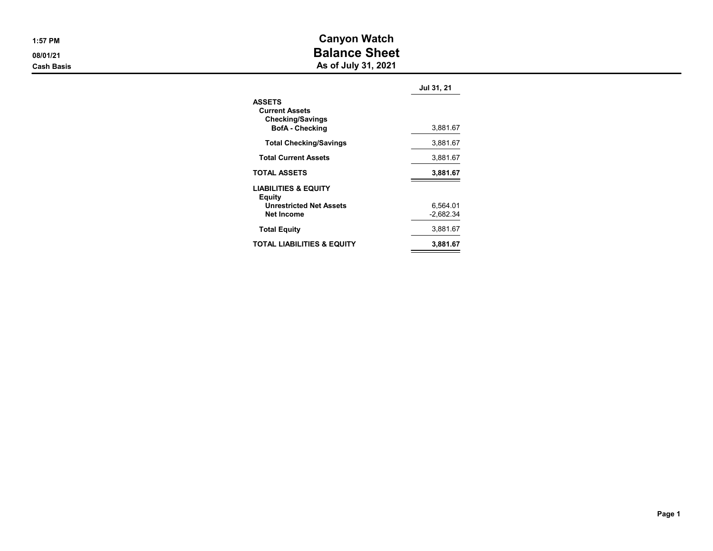|  | 1:57 PM |  |  |  |  |
|--|---------|--|--|--|--|
|  |         |  |  |  |  |

Canyon Watch 08/01/21 **Balance Sheet** 

**Cash Basis** Cash Basis **As of July 31, 2021** 

|                                                                                             | Jul 31, 21  |
|---------------------------------------------------------------------------------------------|-------------|
| <b>ASSETS</b><br><b>Current Assets</b><br><b>Checking/Savings</b><br><b>BofA</b> - Checking | 3,881.67    |
| <b>Total Checking/Savings</b>                                                               | 3,881.67    |
| <b>Total Current Assets</b>                                                                 | 3,881.67    |
| <b>TOTAL ASSETS</b>                                                                         | 3,881.67    |
| <b>LIABILITIES &amp; EQUITY</b><br>Equity<br><b>Unrestricted Net Assets</b>                 | 6,564.01    |
| <b>Net Income</b>                                                                           | $-2.682.34$ |
| <b>Total Equity</b>                                                                         | 3,881.67    |
| TOTAL LIABILITIES & EQUITY                                                                  | 3.881.67    |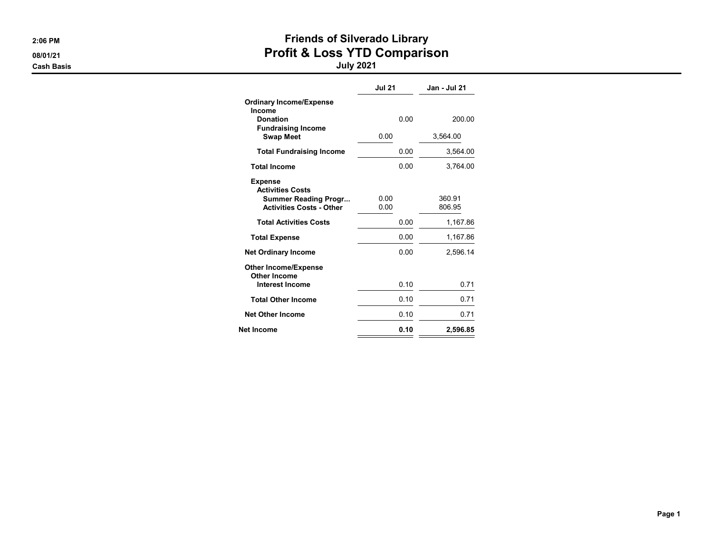# 2:06 PM **PM PM** 2:06 PM 08/01/21 **Profit & Loss YTD Comparison**

|                                                                                                             | <b>Jul 21</b> | Jan - Jul 21     |
|-------------------------------------------------------------------------------------------------------------|---------------|------------------|
| <b>Ordinary Income/Expense</b><br>Income                                                                    |               |                  |
| <b>Donation</b><br><b>Fundraising Income</b>                                                                | 0.00          | 200.00           |
| <b>Swap Meet</b>                                                                                            | 0.00          | 3,564.00         |
| <b>Total Fundraising Income</b>                                                                             | 0.00          | 3,564.00         |
| <b>Total Income</b>                                                                                         | 0.00          | 3,764.00         |
| <b>Expense</b><br><b>Activities Costs</b><br><b>Summer Reading Progr</b><br><b>Activities Costs - Other</b> | 0.00<br>0.00  | 360.91<br>806.95 |
| <b>Total Activities Costs</b>                                                                               | 0.00          | 1,167.86         |
| <b>Total Expense</b>                                                                                        | 0.00          | 1,167.86         |
| <b>Net Ordinary Income</b>                                                                                  | 0.00          | 2,596.14         |
| <b>Other Income/Expense</b><br><b>Other Income</b>                                                          |               |                  |
| <b>Interest Income</b>                                                                                      | 0.10          | 0.71             |
| <b>Total Other Income</b>                                                                                   | 0.10          | 0.71             |
| <b>Net Other Income</b>                                                                                     | 0.10          | 0.71             |
| Net Income                                                                                                  | 0.10          | 2,596.85         |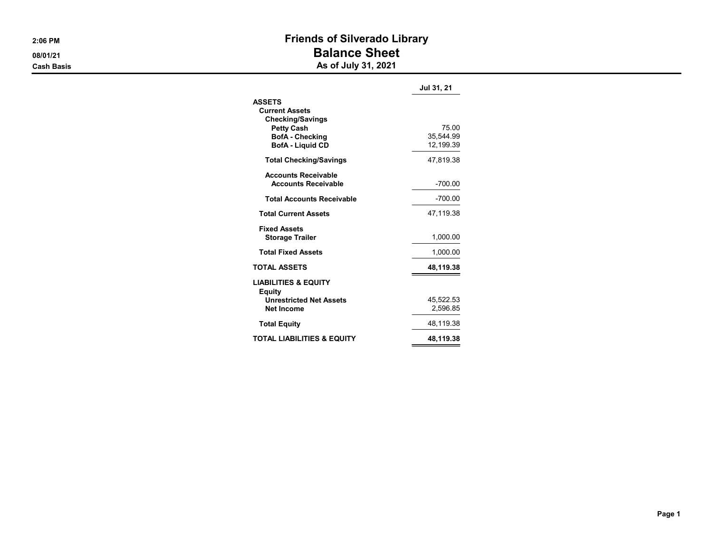## 2:06 PM **PM** 2:06 PM 08/01/21 **Balance Sheet**

**Cash Basis** Cash Basis **As of July 31, 2021** 

|                                           | Jul 31, 21 |
|-------------------------------------------|------------|
| <b>ASSETS</b>                             |            |
| <b>Current Assets</b>                     |            |
| <b>Checking/Savings</b>                   |            |
| <b>Petty Cash</b>                         | 75.00      |
| <b>BofA</b> - Checking                    | 35.544.99  |
| <b>BofA - Liquid CD</b>                   | 12,199.39  |
| <b>Total Checking/Savings</b>             | 47.819.38  |
| <b>Accounts Receivable</b>                |            |
| <b>Accounts Receivable</b>                | $-700.00$  |
| <b>Total Accounts Receivable</b>          | $-700.00$  |
| <b>Total Current Assets</b>               | 47,119.38  |
| <b>Fixed Assets</b>                       |            |
| <b>Storage Trailer</b>                    | 1,000.00   |
| <b>Total Fixed Assets</b>                 | 1,000.00   |
| <b>TOTAL ASSETS</b>                       | 48,119.38  |
| <b>LIABILITIES &amp; EQUITY</b><br>Equity |            |
| <b>Unrestricted Net Assets</b>            | 45.522.53  |
| Net Income                                | 2,596.85   |
| <b>Total Equity</b>                       | 48,119.38  |
| TOTAL LIABILITIES & EQUITY                | 48,119.38  |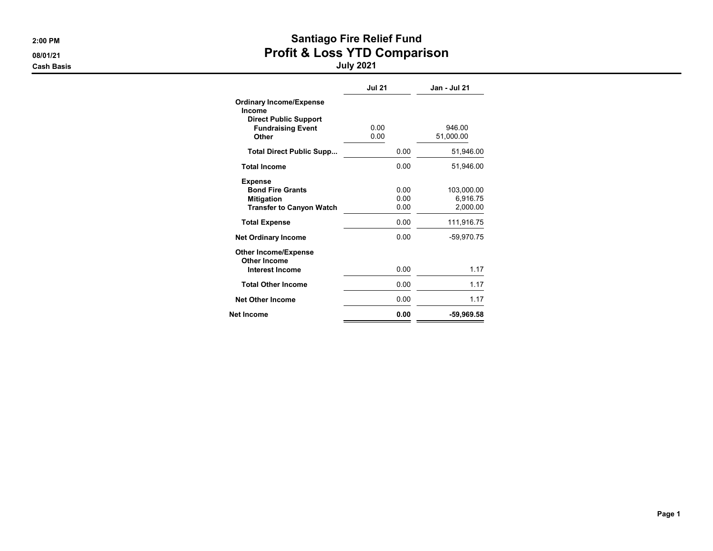# 2:00 PM 300 PM 08/01/21 **Profit & Loss YTD Comparison**

|                                                                                                               | <b>Jul 21</b>        | Jan - Jul 21                       |
|---------------------------------------------------------------------------------------------------------------|----------------------|------------------------------------|
| <b>Ordinary Income/Expense</b><br>Income<br><b>Direct Public Support</b><br><b>Fundraising Event</b><br>Other | 0.00<br>0.00         | 946.00<br>51,000.00                |
| <b>Total Direct Public Supp</b>                                                                               | 0.00                 | 51,946.00                          |
| <b>Total Income</b>                                                                                           | 0.00                 | 51.946.00                          |
| <b>Expense</b><br><b>Bond Fire Grants</b><br><b>Mitigation</b><br><b>Transfer to Canyon Watch</b>             | 0.00<br>0.00<br>0.00 | 103,000.00<br>6,916.75<br>2,000.00 |
| <b>Total Expense</b>                                                                                          | 0.00                 | 111,916.75                         |
| <b>Net Ordinary Income</b>                                                                                    | 0.00                 | -59.970.75                         |
| <b>Other Income/Expense</b><br>Other Income<br><b>Interest Income</b>                                         | 0.00                 | 1.17                               |
| <b>Total Other Income</b>                                                                                     | 0.00                 | 1.17                               |
| <b>Net Other Income</b>                                                                                       | 0.00                 | 1.17                               |
| Net Income                                                                                                    | 0.00                 | -59,969.58                         |